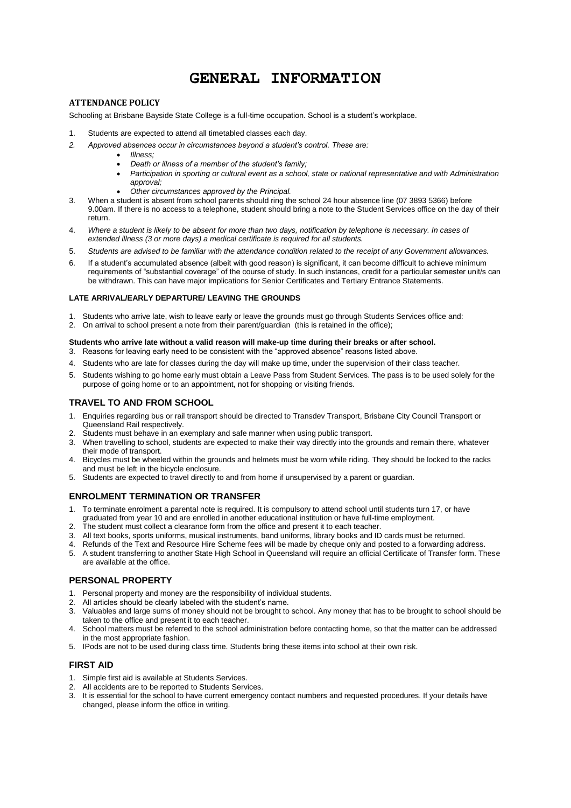# **GENERAL INFORMATION**

# **ATTENDANCE POLICY**

Schooling at Brisbane Bayside State College is a full-time occupation. School is a student's workplace.

- 1. Students are expected to attend all timetabled classes each day.
- *2. Approved absences occur in circumstances beyond a student's control. These are:* 
	- *Illness;*
	- *Death or illness of a member of the student's family;*
	- **•** Participation in sporting or cultural event as a school, state or national representative and with Administration *approval;*
	- *Other circumstances approved by the Principal.*
- 3. When a student is absent from school parents should ring the school 24 hour absence line (07 3893 5366) before 9.00am. If there is no access to a telephone, student should bring a note to the Student Services office on the day of their return.
- 4. *Where a student is likely to be absent for more than two days, notification by telephone is necessary. In cases of extended illness (3 or more days) a medical certificate is required for all students.*
- 5. *Students are advised to be familiar with the attendance condition related to the receipt of any Government allowances.*
- 6. If a student's accumulated absence (albeit with good reason) is significant, it can become difficult to achieve minimum requirements of "substantial coverage" of the course of study. In such instances, credit for a particular semester unit/s can be withdrawn. This can have major implications for Senior Certificates and Tertiary Entrance Statements.

#### **LATE ARRIVAL/EARLY DEPARTURE/ LEAVING THE GROUNDS**

- 1. Students who arrive late, wish to leave early or leave the grounds must go through Students Services office and:
- 2. On arrival to school present a note from their parent/guardian (this is retained in the office);

#### **Students who arrive late without a valid reason will make-up time during their breaks or after school.**

- 3. Reasons for leaving early need to be consistent with the "approved absence" reasons listed above.
- 4. Students who are late for classes during the day will make up time, under the supervision of their class teacher.
- 5. Students wishing to go home early must obtain a Leave Pass from Student Services. The pass is to be used solely for the purpose of going home or to an appointment, not for shopping or visiting friends.

#### **TRAVEL TO AND FROM SCHOOL**

- 1. Enquiries regarding bus or rail transport should be directed to Transdev Transport, Brisbane City Council Transport or Queensland Rail respectively.
- 2. Students must behave in an exemplary and safe manner when using public transport.
- 3. When travelling to school, students are expected to make their way directly into the grounds and remain there, whatever their mode of transport.
- 4. Bicycles must be wheeled within the grounds and helmets must be worn while riding. They should be locked to the racks and must be left in the bicycle enclosure.
- 5. Students are expected to travel directly to and from home if unsupervised by a parent or guardian.

# **ENROLMENT TERMINATION OR TRANSFER**

- 1. To terminate enrolment a parental note is required. It is compulsory to attend school until students turn 17, or have graduated from year 10 and are enrolled in another educational institution or have full-time employment.
- 2. The student must collect a clearance form from the office and present it to each teacher.
- 3. All text books, sports uniforms, musical instruments, band uniforms, library books and ID cards must be returned.
- 4. Refunds of the Text and Resource Hire Scheme fees will be made by cheque only and posted to a forwarding address.
- 5. A student transferring to another State High School in Queensland will require an official Certificate of Transfer form. These are available at the office.

#### **PERSONAL PROPERTY**

- 1. Personal property and money are the responsibility of individual students.
- 2. All articles should be clearly labeled with the student's name.
- 3. Valuables and large sums of money should not be brought to school. Any money that has to be brought to school should be taken to the office and present it to each teacher.
- 4. School matters must be referred to the school administration before contacting home, so that the matter can be addressed in the most appropriate fashion.
- 5. IPods are not to be used during class time. Students bring these items into school at their own risk.

# **FIRST AID**

- 1. Simple first aid is available at Students Services.
- 2. All accidents are to be reported to Students Services.
- 3. It is essential for the school to have current emergency contact numbers and requested procedures. If your details have changed, please inform the office in writing.